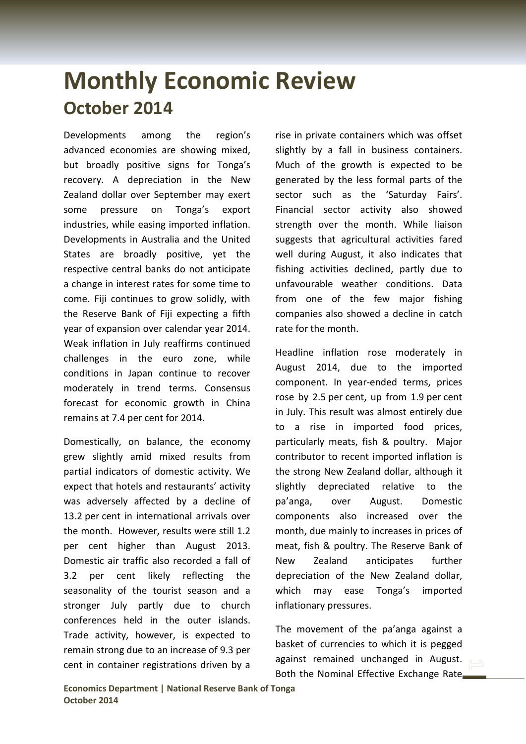## **Monthly Economic Review October 2014**

Developments among the region's advanced economies are showing mixed, but broadly positive signs for Tonga's recovery. A depreciation in the New Zealand dollar over September may exert some pressure on Tonga's export industries, while easing imported inflation. Developments in Australia and the United States are broadly positive, yet the respective central banks do not anticipate a change in interest rates for some time to come. Fiji continues to grow solidly, with the Reserve Bank of Fiji expecting a fifth year of expansion over calendar year 2014. Weak inflation in July reaffirms continued challenges in the euro zone, while conditions in Japan continue to recover moderately in trend terms. Consensus forecast for economic growth in China remains at 7.4 per cent for 2014.

Domestically, on balance, the economy grew slightly amid mixed results from partial indicators of domestic activity. We expect that hotels and restaurants' activity was adversely affected by a decline of 13.2 per cent in international arrivals over the month. However, results were still 1.2 per cent higher than August 2013. Domestic air traffic also recorded a fall of 3.2 per cent likely reflecting the seasonality of the tourist season and a stronger July partly due to church conferences held in the outer islands. Trade activity, however, is expected to remain strong due to an increase of 9.3 per cent in container registrations driven by a

rise in private containers which was offset slightly by a fall in business containers. Much of the growth is expected to be generated by the less formal parts of the sector such as the 'Saturday Fairs'. Financial sector activity also showed strength over the month. While liaison suggests that agricultural activities fared well during August, it also indicates that fishing activities declined, partly due to unfavourable weather conditions. Data from one of the few major fishing companies also showed a decline in catch rate for the month.

Headline inflation rose moderately in August 2014, due to the imported component. In year-ended terms, prices rose by 2.5 per cent, up from 1.9 per cent in July. This result was almost entirely due to a rise in imported food prices, particularly meats, fish & poultry. Major contributor to recent imported inflation is the strong New Zealand dollar, although it slightly depreciated relative to the pa'anga, over August. Domestic components also increased over the month, due mainly to increases in prices of meat, fish & poultry. The Reserve Bank of New Zealand anticipates further depreciation of the New Zealand dollar, which may ease Tonga's imported inflationary pressures.

The movement of the pa'anga against a basket of currencies to which it is pegged against remained unchanged in August. Both the Nominal Effective Exchange Rate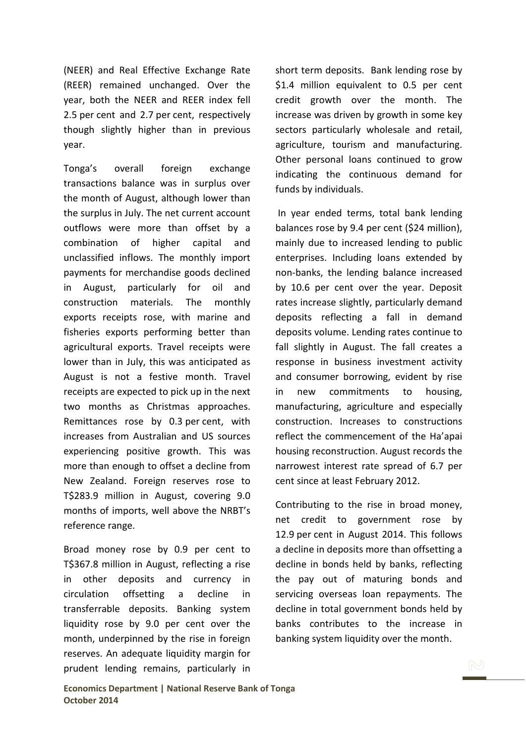(NEER) and Real Effective Exchange Rate (REER) remained unchanged. Over the year, both the NEER and REER index fell 2.5 per cent and 2.7 per cent, respectively though slightly higher than in previous year.

Tonga's overall foreign exchange transactions balance was in surplus over the month of August, although lower than the surplus in July. The net current account outflows were more than offset by a combination of higher capital and unclassified inflows. The monthly import payments for merchandise goods declined in August, particularly for oil and construction materials. The monthly exports receipts rose, with marine and fisheries exports performing better than agricultural exports. Travel receipts were lower than in July, this was anticipated as August is not a festive month. Travel receipts are expected to pick up in the next two months as Christmas approaches. Remittances rose by 0.3 per cent, with increases from Australian and US sources experiencing positive growth. This was more than enough to offset a decline from New Zealand. Foreign reserves rose to T\$283.9 million in August, covering 9.0 months of imports, well above the NRBT's reference range.

Broad money rose by 0.9 per cent to T\$367.8 million in August, reflecting a rise in other deposits and currency in circulation offsetting a decline in transferrable deposits. Banking system liquidity rose by 9.0 per cent over the month, underpinned by the rise in foreign reserves. An adequate liquidity margin for prudent lending remains, particularly in short term deposits. Bank lending rose by \$1.4 million equivalent to 0.5 per cent credit growth over the month. The increase was driven by growth in some key sectors particularly wholesale and retail, agriculture, tourism and manufacturing. Other personal loans continued to grow indicating the continuous demand for funds by individuals.

In year ended terms, total bank lending balances rose by 9.4 per cent (\$24 million), mainly due to increased lending to public enterprises. Including loans extended by non-banks, the lending balance increased by 10.6 per cent over the year. Deposit rates increase slightly, particularly demand deposits reflecting a fall in demand deposits volume. Lending rates continue to fall slightly in August. The fall creates a response in business investment activity and consumer borrowing, evident by rise in new commitments to housing, manufacturing, agriculture and especially construction. Increases to constructions reflect the commencement of the Ha'apai housing reconstruction. August records the narrowest interest rate spread of 6.7 per cent since at least February 2012.

Contributing to the rise in broad money, net credit to government rose by 12.9 per cent in August 2014. This follows a decline in deposits more than offsetting a decline in bonds held by banks, reflecting the pay out of maturing bonds and servicing overseas loan repayments. The decline in total government bonds held by banks contributes to the increase in banking system liquidity over the month.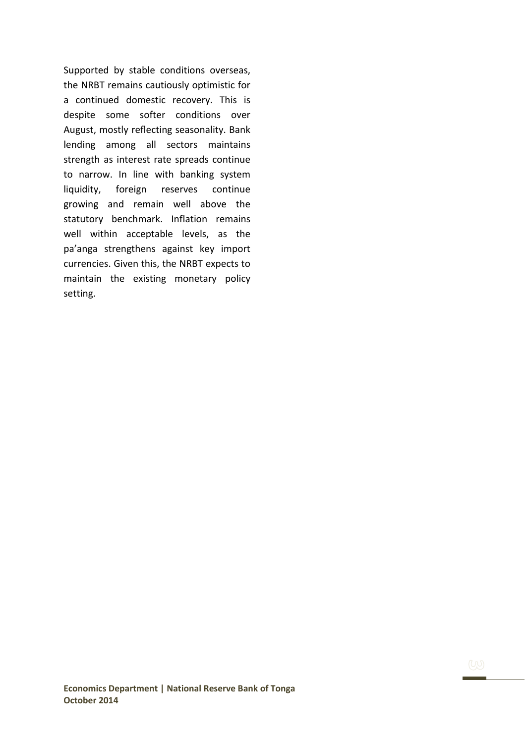Supported by stable conditions overseas, the NRBT remains cautiously optimistic for a continued domestic recovery. This is despite some softer conditions over August, mostly reflecting seasonality. Bank lending among all sectors maintains strength as interest rate spreads continue to narrow. In line with banking system liquidity, foreign reserves continue growing and remain well above the statutory benchmark. Inflation remains well within acceptable levels, as the pa'anga strengthens against key import currencies. Given this, the NRBT expects to maintain the existing monetary policy setting.